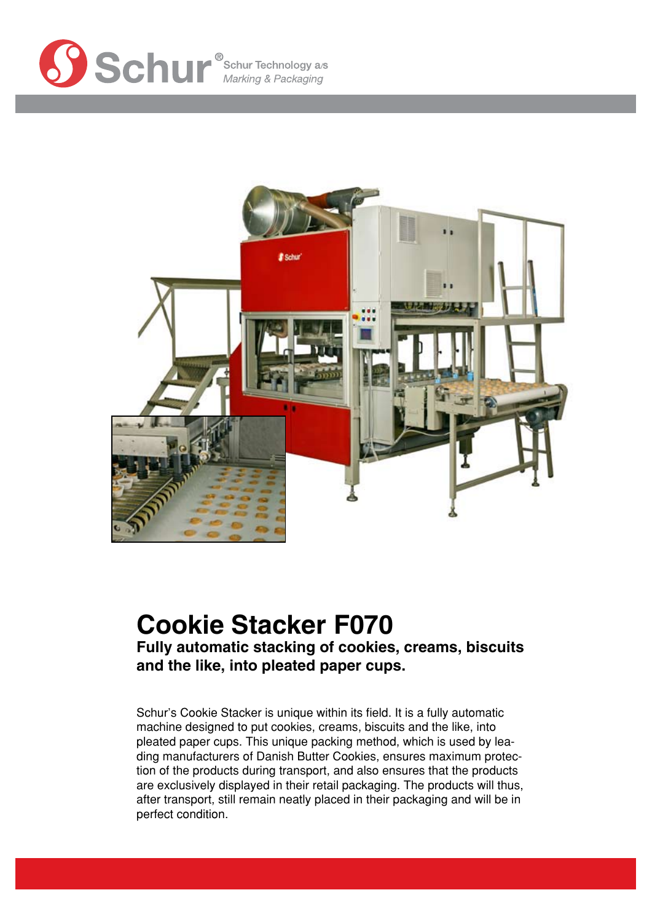



# **Cookie Stacker F070**

**Fully automatic stacking of cookies, creams, biscuits and the like, into pleated paper cups.**

Schur's Cookie Stacker is unique within its field. It is a fully automatic machine designed to put cookies, creams, biscuits and the like, into pleated paper cups. This unique packing method, which is used by leading manufacturers of Danish Butter Cookies, ensures maximum protection of the products during transport, and also ensures that the products are exclusively displayed in their retail packaging. The products will thus, after transport, still remain neatly placed in their packaging and will be in perfect condition.